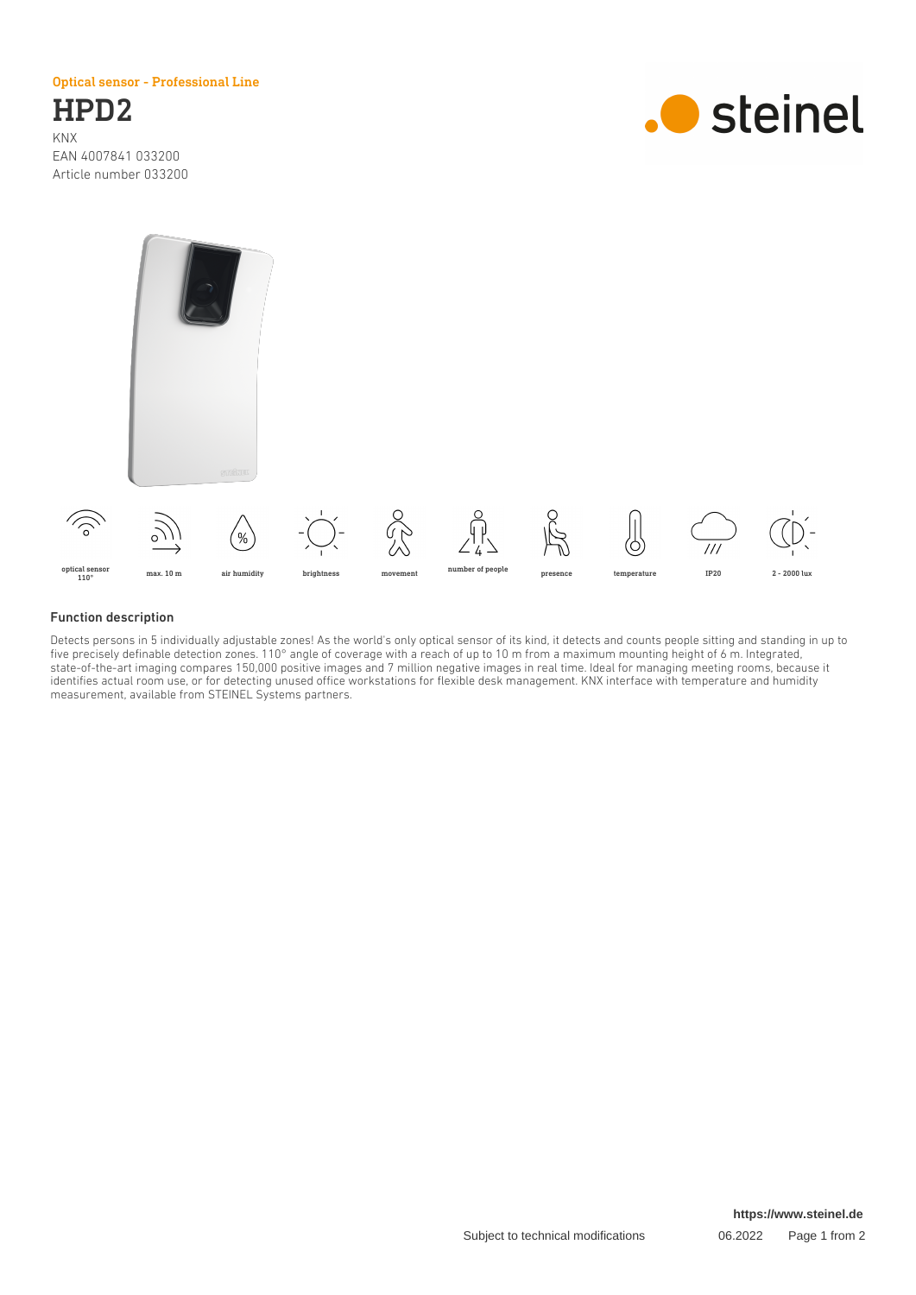Optical sensor - Professional Line

HPD2 KNX EAN 4007841 033200 Article number 033200





## Function description

Detects persons in 5 individually adjustable zones! As the world's only optical sensor of its kind, it detects and counts people sitting and standing in up to five precisely definable detection zones. 110° angle of coverage with a reach of up to 10 m from a maximum mounting height of 6 m. Integrated, state-of-the-art imaging compares 150,000 positive images and 7 million negative images in real time. Ideal for managing meeting rooms, because it identifies actual room use, or for detecting unused office workstations for flexible desk management. KNX interface with temperature and humidity measurement, available from STEINEL Systems partners.